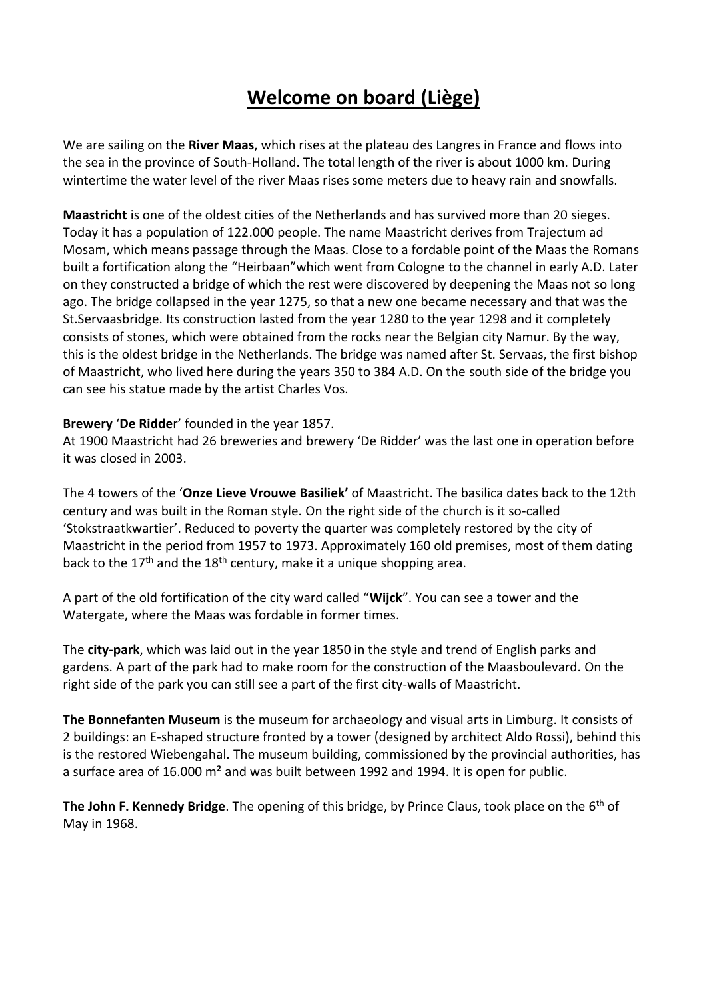# **Welcome on board (Liège)**

We are sailing on the **River Maas**, which rises at the plateau des Langres in France and flows into the sea in the province of South-Holland. The total length of the river is about 1000 km. During wintertime the water level of the river Maas rises some meters due to heavy rain and snowfalls.

**Maastricht** is one of the oldest cities of the Netherlands and has survived more than 20 sieges. Today it has a population of 122.000 people. The name Maastricht derives from Trajectum ad Mosam, which means passage through the Maas. Close to a fordable point of the Maas the Romans built a fortification along the "Heirbaan"which went from Cologne to the channel in early A.D. Later on they constructed a bridge of which the rest were discovered by deepening the Maas not so long ago. The bridge collapsed in the year 1275, so that a new one became necessary and that was the St.Servaasbridge. Its construction lasted from the year 1280 to the year 1298 and it completely consists of stones, which were obtained from the rocks near the Belgian city Namur. By the way, this is the oldest bridge in the Netherlands. The bridge was named after St. Servaas, the first bishop of Maastricht, who lived here during the years 350 to 384 A.D. On the south side of the bridge you can see his statue made by the artist Charles Vos.

### **Brewery** '**De Ridde**r' founded in the year 1857.

At 1900 Maastricht had 26 breweries and brewery 'De Ridder' was the last one in operation before it was closed in 2003.

The 4 towers of the '**Onze Lieve Vrouwe Basiliek'** of Maastricht. The basilica dates back to the 12th century and was built in the Roman style. On the right side of the church is it so-called 'Stokstraatkwartier'. Reduced to poverty the quarter was completely restored by the city of Maastricht in the period from 1957 to 1973. Approximately 160 old premises, most of them dating back to the  $17<sup>th</sup>$  and the  $18<sup>th</sup>$  century, make it a unique shopping area.

A part of the old fortification of the city ward called "**Wijck**". You can see a tower and the Watergate, where the Maas was fordable in former times.

The **city-park**, which was laid out in the year 1850 in the style and trend of English parks and gardens. A part of the park had to make room for the construction of the Maasboulevard. On the right side of the park you can still see a part of the first city-walls of Maastricht.

**The Bonnefanten Museum** is the museum for archaeology and visual arts in Limburg. It consists of 2 buildings: an E-shaped structure fronted by a tower (designed by architect Aldo Rossi), behind this is the restored Wiebengahal. The museum building, commissioned by the provincial authorities, has a surface area of 16.000 m² and was built between 1992 and 1994. It is open for public.

**The John F. Kennedy Bridge**. The opening of this bridge, by Prince Claus, took place on the 6<sup>th</sup> of May in 1968.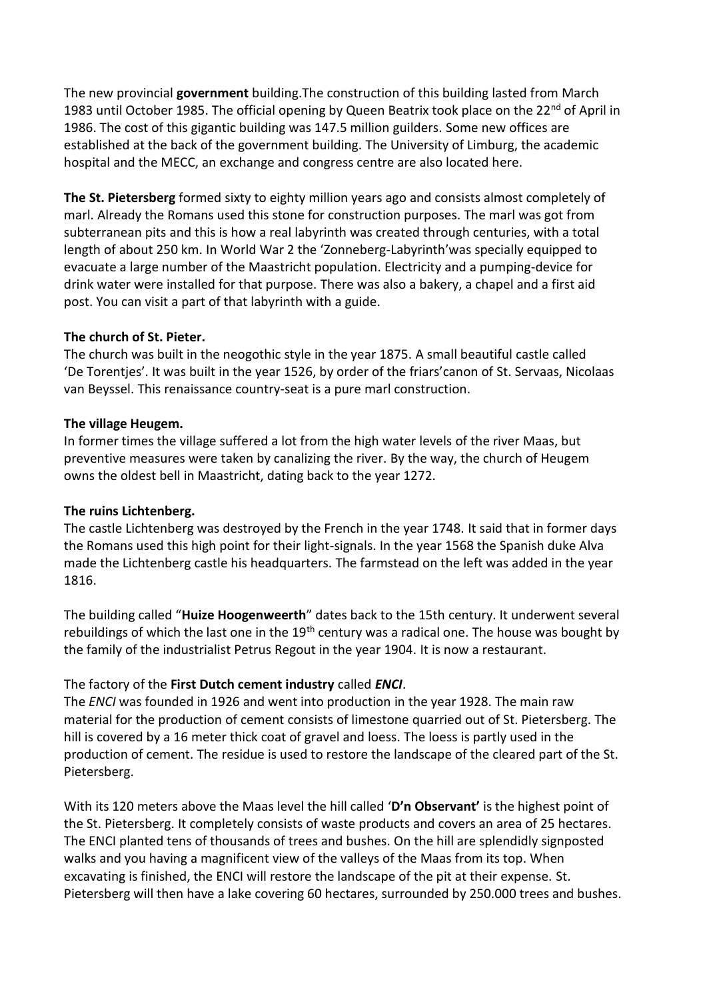The new provincial **government** building.The construction of this building lasted from March 1983 until October 1985. The official opening by Queen Beatrix took place on the 22<sup>nd</sup> of April in 1986. The cost of this gigantic building was 147.5 million guilders. Some new offices are established at the back of the government building. The University of Limburg, the academic hospital and the MECC, an exchange and congress centre are also located here.

**The St. Pietersberg** formed sixty to eighty million years ago and consists almost completely of marl. Already the Romans used this stone for construction purposes. The marl was got from subterranean pits and this is how a real labyrinth was created through centuries, with a total length of about 250 km. In World War 2 the 'Zonneberg-Labyrinth'was specially equipped to evacuate a large number of the Maastricht population. Electricity and a pumping-device for drink water were installed for that purpose. There was also a bakery, a chapel and a first aid post. You can visit a part of that labyrinth with a guide.

### **The church of St. Pieter.**

The church was built in the neogothic style in the year 1875. A small beautiful castle called 'De Torentjes'. It was built in the year 1526, by order of the friars'canon of St. Servaas, Nicolaas van Beyssel. This renaissance country-seat is a pure marl construction.

### **The village Heugem.**

In former times the village suffered a lot from the high water levels of the river Maas, but preventive measures were taken by canalizing the river. By the way, the church of Heugem owns the oldest bell in Maastricht, dating back to the year 1272.

# **The ruins Lichtenberg.**

The castle Lichtenberg was destroyed by the French in the year 1748. It said that in former days the Romans used this high point for their light-signals. In the year 1568 the Spanish duke Alva made the Lichtenberg castle his headquarters. The farmstead on the left was added in the year 1816.

The building called "**Huize Hoogenweerth**" dates back to the 15th century. It underwent several rebuildings of which the last one in the  $19<sup>th</sup>$  century was a radical one. The house was bought by the family of the industrialist Petrus Regout in the year 1904. It is now a restaurant.

# The factory of the **First Dutch cement industry** called *ENCI*.

The *ENCI* was founded in 1926 and went into production in the year 1928. The main raw material for the production of cement consists of limestone quarried out of St. Pietersberg. The hill is covered by a 16 meter thick coat of gravel and loess. The loess is partly used in the production of cement. The residue is used to restore the landscape of the cleared part of the St. Pietersberg.

With its 120 meters above the Maas level the hill called '**D'n Observant'** is the highest point of the St. Pietersberg. It completely consists of waste products and covers an area of 25 hectares. The ENCI planted tens of thousands of trees and bushes. On the hill are splendidly signposted walks and you having a magnificent view of the valleys of the Maas from its top. When excavating is finished, the ENCI will restore the landscape of the pit at their expense. St. Pietersberg will then have a lake covering 60 hectares, surrounded by 250.000 trees and bushes.